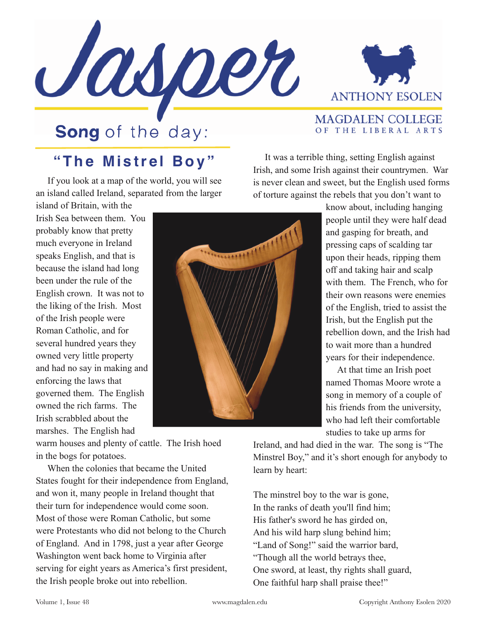



**MAGDALEN COLLEGE** OF THE LIBERAL ARTS

## **Song** of the day:

## **"The Mistrel Boy"**

 If you look at a map of the world, you will see an island called Ireland, separated from the larger

island of Britain, with the Irish Sea between them. You probably know that pretty much everyone in Ireland speaks English, and that is because the island had long been under the rule of the English crown. It was not to the liking of the Irish. Most of the Irish people were Roman Catholic, and for several hundred years they owned very little property and had no say in making and enforcing the laws that governed them. The English owned the rich farms. The Irish scrabbled about the marshes. The English had

 It was a terrible thing, setting English against Irish, and some Irish against their countrymen. War is never clean and sweet, but the English used forms of torture against the rebels that you don't want to

> know about, including hanging people until they were half dead and gasping for breath, and pressing caps of scalding tar upon their heads, ripping them off and taking hair and scalp with them. The French, who for their own reasons were enemies of the English, tried to assist the Irish, but the English put the rebellion down, and the Irish had to wait more than a hundred years for their independence.

 At that time an Irish poet named Thomas Moore wrote a song in memory of a couple of his friends from the university, who had left their comfortable studies to take up arms for

Ireland, and had died in the war. The song is "The Minstrel Boy," and it's short enough for anybody to learn by heart:

The minstrel boy to the war is gone, In the ranks of death you'll find him; His father's sword he has girded on, And his wild harp slung behind him; "Land of Song!" said the warrior bard, "Though all the world betrays thee, One sword, at least, thy rights shall guard, One faithful harp shall praise thee!"

warm houses and plenty of cattle. The Irish hoed in the bogs for potatoes.

 When the colonies that became the United States fought for their independence from England, and won it, many people in Ireland thought that their turn for independence would come soon. Most of those were Roman Catholic, but some were Protestants who did not belong to the Church of England. And in 1798, just a year after George Washington went back home to Virginia after serving for eight years as America's first president, the Irish people broke out into rebellion.